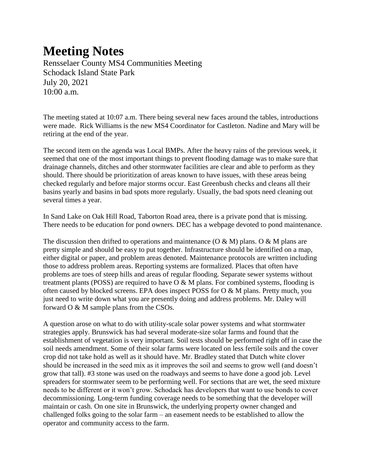## **Meeting Notes**

Rensselaer County MS4 Communities Meeting Schodack Island State Park July 20, 2021 10:00 a.m.

The meeting stated at 10:07 a.m. There being several new faces around the tables, introductions were made. Rick Williams is the new MS4 Coordinator for Castleton. Nadine and Mary will be retiring at the end of the year.

The second item on the agenda was Local BMPs. After the heavy rains of the previous week, it seemed that one of the most important things to prevent flooding damage was to make sure that drainage channels, ditches and other stormwater facilities are clear and able to perform as they should. There should be prioritization of areas known to have issues, with these areas being checked regularly and before major storms occur. East Greenbush checks and cleans all their basins yearly and basins in bad spots more regularly. Usually, the bad spots need cleaning out several times a year.

In Sand Lake on Oak Hill Road, Taborton Road area, there is a private pond that is missing. There needs to be education for pond owners. DEC has a webpage devoted to pond maintenance.

The discussion then drifted to operations and maintenance (O & M) plans. O & M plans are pretty simple and should be easy to put together. Infrastructure should be identified on a map, either digital or paper, and problem areas denoted. Maintenance protocols are written including those to address problem areas. Reporting systems are formalized. Places that often have problems are toes of steep hills and areas of regular flooding. Separate sewer systems without treatment plants (POSS) are required to have  $O & M$  plans. For combined systems, flooding is often caused by blocked screens. EPA does inspect POSS for O & M plans. Pretty much, you just need to write down what you are presently doing and address problems. Mr. Daley will forward O & M sample plans from the CSOs.

A question arose on what to do with utility-scale solar power systems and what stormwater strategies apply. Brunswick has had several moderate-size solar farms and found that the establishment of vegetation is very important. Soil tests should be performed right off in case the soil needs amendment. Some of their solar farms were located on less fertile soils and the cover crop did not take hold as well as it should have. Mr. Bradley stated that Dutch white clover should be increased in the seed mix as it improves the soil and seems to grow well (and doesn't grow that tall). #3 stone was used on the roadways and seems to have done a good job. Level spreaders for stormwater seem to be performing well. For sections that are wet, the seed mixture needs to be different or it won't grow. Schodack has developers that want to use bonds to cover decommissioning. Long-term funding coverage needs to be something that the developer will maintain or cash. On one site in Brunswick, the underlying property owner changed and challenged folks going to the solar farm – an easement needs to be established to allow the operator and community access to the farm.